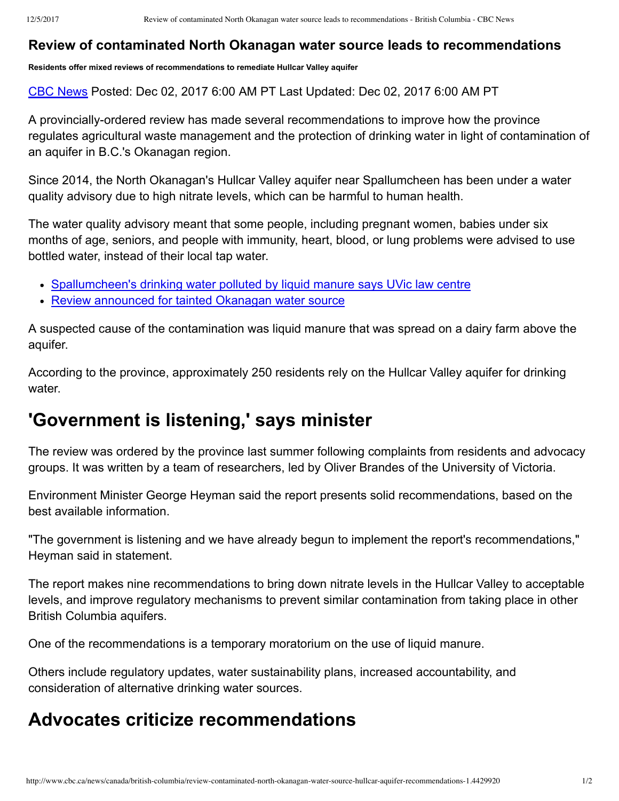## **Review of contaminated North Okanagan water source leads to recommendations**

**Residents offer mixed reviews of recommendations to remediate Hullcar Valley aquifer**

CBC [News](http://www.cbc.ca/news/cbc-news-online-news-staff-list-1.1294364) Posted: Dec 02, 2017 6:00 AM PT Last Updated: Dec 02, 2017 6:00 AM PT

A provincially-ordered review has made several recommendations to improve how the province regulates agricultural waste management and the protection of drinking water in light of contamination of an aquifer in B.C.'s Okanagan region.

Since 2014, the North Okanagan's Hullcar Valley aquifer near Spallumcheen has been under a water quality advisory due to high nitrate levels, which can be harmful to human health.

The water quality advisory meant that some people, including pregnant women, babies under six months of age, seniors, and people with immunity, heart, blood, or lung problems were advised to use bottled water, instead of their local tap water.

- [Spallumcheen's](http://www.cbc.ca/1.3434372) drinking water polluted by liquid manure says UVic law centre
- Review [announced](http://www.cbc.ca/1.4232921) for tainted Okanagan water source

A suspected cause of the contamination was liquid manure that was spread on a dairy farm above the aquifer.

According to the province, approximately 250 residents rely on the Hullcar Valley aquifer for drinking water.

## **'Government is listening,' says minister**

The review was ordered by the province last summer following complaints from residents and advocacy groups. It was written by a team of researchers, led by Oliver Brandes of the University of Victoria.

Environment Minister George Heyman said the report presents solid recommendations, based on the best available information.

"The government is listening and we have already begun to implement the report's recommendations," Heyman said in statement.

The report makes nine recommendations to bring down nitrate levels in the Hullcar Valley to acceptable levels, and improve regulatory mechanisms to prevent similar contamination from taking place in other British Columbia aquifers.

One of the recommendations is a temporary moratorium on the use of liquid manure.

Others include regulatory updates, water sustainability plans, increased accountability, and consideration of alternative drinking water sources.

## **Advocates criticize recommendations**